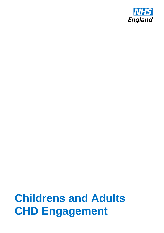

# **Childrens and Adults CHD Engagement**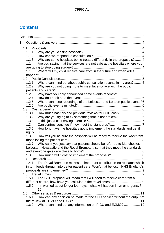# <span id="page-1-0"></span>**Contents**

| 1               |                                                                                     |
|-----------------|-------------------------------------------------------------------------------------|
|                 |                                                                                     |
| 1.1.1           |                                                                                     |
|                 |                                                                                     |
|                 | 1.1.3 Why are some hospitals being treated differently in the proposals?  4         |
| 1.1.4           | Are you saying that the services are not safe at the hospitals where you            |
|                 |                                                                                     |
| 1.1.5           | Where will my child receive care from in the future and when will it                |
|                 |                                                                                     |
|                 |                                                                                     |
| 1.2.1           | Where can I find out about public consultation events in my area?  5                |
| 1.2.2           | Why are you not doing more to meet face-to-face with the public,                    |
|                 |                                                                                     |
| 1.2.3           | Why have you only announced some events recently?  5                                |
| 1.2.4           |                                                                                     |
| 1.2.5           | Where can I see recordings of the Leicester and London public events?6              |
| 1.2.6           |                                                                                     |
|                 |                                                                                     |
| 1.3.1           | How much has this and previous reviews for CHD cost? 6                              |
| 1.3.2           |                                                                                     |
| 1.3.3           |                                                                                     |
| 1.3.4<br>1.3.5  |                                                                                     |
|                 | How long have the hospitals got to implement the standards and get it               |
| right?<br>1.3.6 | 8                                                                                   |
|                 | How will you be sure the hospitals will be ready to receive the work from           |
| 1.3.7           | Why can't you just say that patients should be referred to Manchester,              |
|                 | Leicester, Newcastle and the Royal Brompton, so that they meet the standards        |
|                 |                                                                                     |
|                 |                                                                                     |
| 1.4             |                                                                                     |
| 1.4.1           | The Royal Brompton makes an important contribution tro research which               |
|                 | in turn feeds through into better patient care. Won't that be lost if NHS England's |
|                 |                                                                                     |
| 1.5             |                                                                                     |
| 1.5.1           | The CHD proposal will mean that I will need to receive care from a                  |
|                 |                                                                                     |
| 1.5.2           | I'm worried about longer journeys - what will happen in an emergency?               |
|                 | 10                                                                                  |
| 1.6             |                                                                                     |
| 1.6.1           | How can any decision be made for the CHD service without the output of              |
|                 |                                                                                     |
| 1.6.2           | Where can I find out any information on PICU and ECMO?  12                          |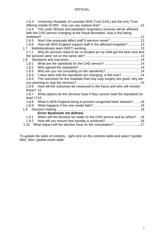| 1.6.3 University Hospitals of Leicester NHS Trust (UHL) are the only Trust<br>1.6.4 The cystic fibrosis and paediatric respiratory services will be affected<br>with the CHD service changing at the Royal Brompton, how is this being |
|----------------------------------------------------------------------------------------------------------------------------------------------------------------------------------------------------------------------------------------|
|                                                                                                                                                                                                                                        |
| 1.6.5 Won't the proposals affect staff if services move?  12                                                                                                                                                                           |
| How will NHS England support staff in the affected hospitals? 13<br>1.6.6                                                                                                                                                              |
|                                                                                                                                                                                                                                        |
| Why do services need to be co-located as my child got the best care and<br>1.7.1                                                                                                                                                       |
|                                                                                                                                                                                                                                        |
|                                                                                                                                                                                                                                        |
| 1.8.1                                                                                                                                                                                                                                  |
| 1.8.2                                                                                                                                                                                                                                  |
| 1.8.3                                                                                                                                                                                                                                  |
| I have been told the standards are changing, is this true? 14<br>1.8.4                                                                                                                                                                 |
| The outcomes for the hospitals that may stop surgery are good, why are<br>1.8.5                                                                                                                                                        |
|                                                                                                                                                                                                                                        |
| How will the outcomes be measured in the future and who will monitor<br>1.8.6                                                                                                                                                          |
| these? 15                                                                                                                                                                                                                              |
| 1.8.7 What options do the services have if they cannot meet the standards for                                                                                                                                                          |
| level 1?15                                                                                                                                                                                                                             |
| 1.8.8 What is NHS England doing to prevent congenital heart disease? 16                                                                                                                                                                |
| 1.8.9                                                                                                                                                                                                                                  |
|                                                                                                                                                                                                                                        |
| Error! Bookmark not defined.                                                                                                                                                                                                           |
| When will the decision be made on the CHD service and by whom?  16<br>1.9.1                                                                                                                                                            |
| 1.9.2                                                                                                                                                                                                                                  |
| 1.10 What impact will the election have on the consultation?17                                                                                                                                                                         |

*To update the table of contents - right click on the contents table and select 'Update field', then 'update entire table'*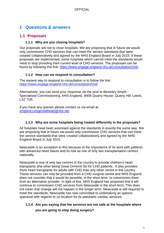## <span id="page-3-0"></span>**1 Questions & answers**

## <span id="page-3-1"></span>**1.1 Proposals**

#### **1.1.1 Why are you closing hospitals?**

<span id="page-3-2"></span>Our proposals are not to close hospitals. We are proposing that in future we would only commission CHD services that can meet the service standards that were created collaboratively and agreed by the NHS England Board in July 2015. If these proposals are implemented, some hospitals which cannot meet the standards would need to stop providing their current level of CHD services. The proposals can be found by following this link: <https://www.engage.england.nhs.uk/consultation/chd/>

#### **1.1.2 How can we respond to consultation?**

<span id="page-3-3"></span>The easiest way to respond to consultation is to follow the link: <https://www.engage.england.nhs.uk/consultation/chd/>

Alternatively, you can send your response via the post to Beverley Smyth - Specialised Commissioning, NHS England, 4N08 Quarry House, Quarry Hill, Leeds. LS2 7UE.

If you have any queries please contact us via email at: [england.congenitalheart@nhs.net](mailto:england.congenitalheart@nhs.net)

#### **1.1.3 Why are some hospitals being treated differently in the proposals?**

<span id="page-3-4"></span>All hospitals have been assessed against the standards in exactly the same way. We are proposing that in future we would only commission CHD services that can meet the service standards that were created collaboratively and agreed by the NHS England Board in July 2015.

Newcastle is an exception to this because of the importance of its work with patients with advanced heart failure and its role as one of only two transplantation centres nationally.

Newcastle is one of only two centres in the country to provide children's heart transplants (the other being Great Ormond St) for CHD patients. It also provides more heart transplants for adults with CHD than any other centre in the country. These services can only be provided from a CHD surgical centre and NHS England does not consider that it would be possible, in the short term, to commission them from an alternative provider. In light of this, NHS England has proposed that it will continue to commission CHD services from Newcastle in the short term. This does not mean that change will not happen in the longer term. Newcastle is still required to meet the standards. Newcastle has now committed to undertaking an options appraisal with regards to co-location for its paediatric cardiac services.

## <span id="page-3-5"></span>**1.1.4 Are you saying that the services are not safe at the hospitals where**

**you are going to stop doing surgery?**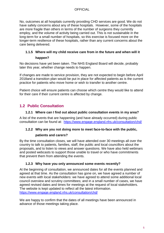No, outcomes at all hospitals currently providing CHD services are good. We do not have safety concerns about any of these hospitals. However, some of the hospitals are more fragile than others in terms of the number of surgeons they currently employ, and the volume of activity being carried out. This is not sustainable in the long-term for a small number of hospitals, so this exercise is focused more on the longer-term resilience of these hospitals, rather than any current concerns about the care being delivered.

# <span id="page-4-0"></span>**1.1.5 Where will my child receive care from in the future and when will it**

#### **happen?**

No decisions have yet been taken. The NHS England Board will decide, probably later this year, whether change needs to happen.

If changes are made to service provision, they are not expected to begin before April 2018and a transition plan would be put in place for affected patients as is the current practice for patients who move home or wish to transfer to another centre.

Patient choice will ensure patients can choose which centre they would like to attend for their care if their current centre is affected by change.

## <span id="page-4-1"></span>**1.2 Public Consultation**

#### **1.2.1 Where can I find out about public consultation events in my area?**

<span id="page-4-2"></span>A list of the events that are happening (and have already occurred) during public consultation can be found at: <https://www.engage.england.nhs.uk/consultation/chd/>

#### <span id="page-4-3"></span>**1.2.2 Why are you not doing more to meet face-to-face with the public,**

#### **patients and carers?**

By the time consultation closes, we will have attended over 30 meetings all over the country to talk to patients, families, staff, the public and local councillors about the proposals, and to listen to views and answer questions. We have also held webinars and posted webcasts to support those unable to travel or who have commitments that prevent them from attending the events.

#### **1.2.3 Why have you only announced some events recently?**

<span id="page-4-4"></span>At the beginning of consultation, we announced dates for all the events planned and agreed at that time. As the consultation has gone on, we have agreed a number of new events with local stakeholders: we have agreed to attend some additional local council overview and scrutiny committees; and in a small number of cases, we have agreed revised dates and times for meetings at the request of local stakeholders. The website is kept updated to reflect all the latest information. <https://www.engage.england.nhs.uk/consultation/chd/>

We are happy to confirm that the dates of all meetings have been announced in advance of those meetings taking place.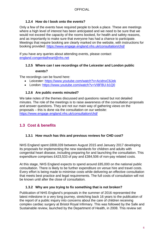#### **1.2.4 How do I book onto the events?**

<span id="page-5-0"></span>Only a few of the events have required people to book a place. These are meetings where a high level of interest has been anticipated and we need to be sure that we would not exceed the capacity of the rooms booked, for health and safety reasons, and as importantly to make sure that everyone has had a chance to participate. Meetings that require booking are clearly marked on the website, with instructions for booking provided:<https://www.engage.england.nhs.uk/consultation/chd/>

If you have any queries about attending events, please contact [england.congenitalheart@nhs.net](mailto:england.congenitalheart@nhs.net)

## <span id="page-5-1"></span>**1.2.5 Where can I see recordings of the Leicester and London public**

#### **events?**

The recordings can be found here:

- Leicester:<https://www.youtube.com/watch?v=AcidnxC6Jek>
- London:<https://www.youtube.com/watch?v=VI8FBU-b1Q0>

#### **1.2.6 Are public events minuted?**

<span id="page-5-2"></span>We take notes of the themes discussed and questions raised but not detailed minutes. The role of the meetings is to raise awareness of the consultation proposals and answer questions. They are not our main way of gathering views on the proposals – this is done via the consultation on our website: <https://www.engage.england.nhs.uk/consultation/chd/>

## <span id="page-5-3"></span>**1.3 Cost & benefits**

#### <span id="page-5-4"></span>**1.3.1 How much has this and previous reviews for CHD cost?**

NHS England spent £808,039 between August 2015 and January 2017 developing its proposals for implementing the new standards for children and adults with congenital heart disease, including preparing for and launching the consultation. This expenditure comprises £423,533 of pay and £384,506 of non-pay related costs.

At this stage, NHS England expects to spend around £85,000 on the national public consultation. There is likely to be further expenditure on venue hire and travel costs. Every effort is being made to minimise costs while delivering an effective consultation that meets best practice and legal requirements. The full costs of consultation will not be known until after the close of consultation.

#### **1.3.2 Why are you trying to fix something that is not broken?**

<span id="page-5-5"></span>Publication of NHS England's proposals in the summer of 2016 represented the latest milestone in a very long journey, stretching back 16 years to the publication of the report of a public inquiry into concerns about the care of children receiving complex cardiac surgery at Bristol Royal Infirmary. This was followed by the Safe and Sustainable review, launched by the Department of Health, in 2008. This review set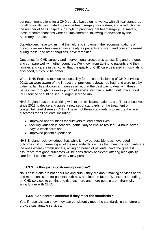out recommendations for a CHD service based on networks; with clinical standards for all hospitals designated to provide heart surgery for children, and a reduction in the number of NHS hospitals in England providing that heart surgery. Ultimately, these recommendations were not implemented, following intervention by the Secretary of State.

Stakeholders have told us that the failure to implement the recommendations of previous reviews has created uncertainty for patients and staff, and concerns raised during these, and other enquiries, have remained.

Outcomes for CHD surgery and interventional procedures across England are good, and compare well with other countries. We know, from talking to patients and their families and carers in particular, that the quality of CHD care delivered in hospitals is also good, but could be better.

When NHS England took on responsibility for the commissioning of CHD services in 2013, we were aware of the impact that previous reviews had had, and were told by patients, families, doctors and nurses alike, that the best way to deal with these issues was through the development of service standards, setting out how a good CHD service should be set up, organised and run.

NHS England has been working with expert clinicians; patients; and Trust executives since 2013 to devise and agree a new set of standards for the treatment of congenital heart disease (CHD). The aim of these standards is to secure the best outcomes for all patients, including:

- improved opportunities for survivors to lead better lives;
- tackling variation in services, particularly to ensure resilient 24-hour, seven days a week care; and
- improved patient experience.

NHS England acknowledges that, while it may be possible to achieve good outcomes without meeting all of these standards, centres that meet the standards are the ones where commissioners, acting on behalf of patients, have the greatest assurance that good outcomes will be consistently achieved; offering high quality care for all patients wherever they may present.

#### **1.3.3 Is this just a cost-saving exercise?**

<span id="page-6-0"></span>No. These plans are not about making cuts – they are about making services better and more consistent for patients both now and into the future. We expect spending on CHD services to continue to rise, as more and more people are – thankfully – living longer with CHD.

#### **1.3.4 Can centres continue if they meet the standards?**

<span id="page-6-1"></span>Yes, if hospitals can show they can consistently meet the standards in the future to provide sustainable services.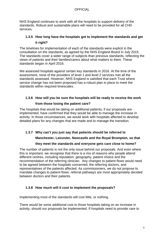NHS England continues to work with all the hospitals to support delivery of the standards. Robust and sustainable plans will need to be provided for all CHD services.

## <span id="page-7-0"></span>**1.3.5 How long have the hospitals got to implement the standards and get it right?**

The timelines for implementation of each of the standards were explicit in the consultation on the standards, as agreed by the NHS England Board in July 2015. The standards cover a wider range of subjects than previous standards, reflecting the views of patients and their families/carers about what matters to them. These standards began in April 2016.

We assessed hospitals against certain key standards in 2016. At the time of the assessment, none of the providers of level 1 and level 2 services met all the standards assessed. However, NHS England is satisfied that each Trust where service change has not been proposed has a robust plan in place to meet the standards within required timescales.

## <span id="page-7-1"></span>**1.3.6 How will you be sure the hospitals will be ready to receive the work from those losing the patient care?**

The hospitals that would be taking on additional patients, if our proposals are implemented, have confirmed that they would be able to manage the increase in activity. In those circumstances, we would work with hospitals affected to develop detailed plans for any changes that are made and to manage the transition.

# <span id="page-7-2"></span>**1.3.7 Why can't you just say that patients should be referred to Manchester, Leicester, Newcastle and the Royal Brompton, so that**

## **they meet the standards and everyone gets care close to home?**

The number of patients is not the only issue behind our proposals. And even where this is important, we recognise that there is a mix of reasons why people attend different centres, including reputation, geography, patient choice and the recommendation of the referring clinician. Any changes to patient flows would need to be agreed between the hospitals concerned, the referring doctors, and representatives of the patients affected. As commissioners, we do not propose to mandate changes to patient flows: referral pathways are most appropriately decided between doctors and their patients.

## <span id="page-7-3"></span>**1.3.8 How much will it cost to implement the proposals?**

Implementing most of the standards will cost little, or nothing.

There would be some additional cost to those hospitals taking on an increase in activity, should our proposals be implemented. If hospitals need to provide care to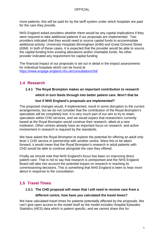more patients, this will be paid for by the tariff system under which hospitals are paid for the care they provide.

NHS England asked providers whether there would be any capital implications if they were required to take additional patients if our proposals are implemented. Two providers indicated that they would need to source capital funds to accommodate additional activity: University Hospitals Birmingham (£4M) and Great Ormond Street (£6M). In both of these cases, it is expected that the provider would be able to source the capital funding from existing allocations and/or charitable funds. No other provider indicated any requirement for capital funding

The financial impact of our proposals is set out in detail in the impact assessments for individual hospitals which can be found at <https://www.engage.england.nhs.uk/consultation/chd/>

## <span id="page-8-0"></span>**1.4 Research**

#### <span id="page-8-1"></span>**1.4.1 The Royal Brompton makes an important contribution to research**

#### **which in turn feeds through into better patient care. Won't that be**

#### **lost if NHS England's proposals are implemented?**

The proposed changes would, if implemented, result in some disruption to the current arrangements, but we do not consider that the contribution of the Royal Brompton's specialists will be completely lost. It is very much part of our aim to try to retain specialists within CHD services, and we would expect that researchers currently based at the Royal Brompton would continue their research, albeit at a new institution. Other centres already have an important focus on research, and active involvement in research is required by the standards.

We have asked the Royal Brompton to explore the potential for offering an adult only level 1 CHD service in partnership with another centre. Were this to be taken forward, it would mean that the Royal Brompton's research in adult patients with CHD would be able to continue alongside the care they offered.

Finally we should note that NHS England's focus has been on improving direct patient care. That is not to say that research is unimportant and the NHS England Board will take into account the potential impact on research in reaching its commissioning decisions. This is something that NHS England is keen to hear more about in response to the consultation.

## <span id="page-8-2"></span>**1.5 Travel Times**

## <span id="page-8-3"></span>**1.5.1 The CHD proposal will mean that I will need to receive care from a different centre, how have you calculated the travel times?**

We have calculated travel times for patients potentially affected by the proposals. We can't give open access to the model itself as the model includes Hospital Episodes Statistics (HES) data which is patient specific, and we cannot share this for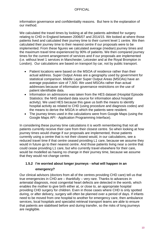information governance and confidentiality reasons. But here is the explanation of our method.

We calculated the travel times by looking at all the patients admitted for surgery relating to CHD in England between 2006/07 and 2014/15. We looked at where those patients lived and calculated their journey time to their current level 1 centre. We then calculated their journey time to their nearest centre if our proposals were to be implemented. From these figures we calculated average (median) journey times and the maximum travel time experienced by 90% of patients. We then compared journey times for the current arrangement of services and if our proposals are implemented (i.e. without level 1 services in Manchester, Leicester and at the Royal Brompton in London). Our calculations are based on transport by car, not by public transport.

- Patient locations were based on the MSOA of residence rather than their actual address. Super Output Areas are a geography used by government for statistical comparison. Middle Layer Super Output Areas (MSOAs) have an average population size of 7,500. We used MSOAs rather than actual addresses because of information governance restrictions on the use of patient identifiable data.
- Information on admissions was taken from the HES dataset (Hospital Episode Statistics: the NHS standard data source for information about hospital activity). We used HES because this gave us both the means to identify hospital activity as related to CHD (using procedure and diagnosis codes) and the means to derive the MSOA in which the patients were resident.
- The journey times used in the calculations were from Google Maps (using the Google Maps API - Application Programming Interface).

In considering these journey time calculations it is worth remembering that not all patients currently receive their care from their closest centre. So when looking at how journey times would change if our proposals are implemented, those patients currently using a centre that is not their closest would, in our calculations, see a reduced travel time if that centre ceased providing L1 care, because we assume they would in future go to their nearest centre. And those patients living near a centre that could cease providing L1 care, but who currently travel elsewhere for their care, would be modelled as having no change in their journey time, because we assume that they would not change centre.

## <span id="page-9-0"></span>**1.5.2 I'm worried about longer journeys - what will happen in an**

#### **emergency?**

Our clinical advisors (doctors from all of the centres providing CHD care) tell us that true emergencies in CHD are – thankfully – very rare. Thanks to advances in antenatal diagnosis, most congenital heart defects are detected in the womb, which enables the mother to give birth either at, or close to, an appropriate hospital providing CHD surgery for children. Even in those cases where CHD is only spotted during, or after delivery, surgery will often be planned over a period of days. If infants need to be moved from one hospital to another for emergency care, then ambulance services, local hospitals and specialist retrieval transport teams are able to ensure that patients are stabilised before and during transfer, so the risks of long journeys are negligible.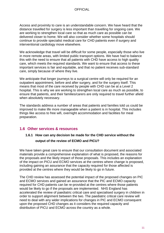Access and proximity to care is an understandable concern. We have heard that the distance travelled for surgery is less important than travelling for ongoing care. We are working to strengthen local care so that as much care as possible can be delivered closer to home. We will also consider whether some hospitals should continue to provide specialist medical care for CHD patients even if surgery and interventional cardiology move elsewhere.

We acknowledge that travel will be difficult for some people, especially those who live in more remote areas, with limited public transport options. We have had to balance this with the need to ensure that all patients with CHD have access to high quality care, which meets the required standards. We want to ensure that access to these important services is fair and equitable, and that no patient receives sub-standard care, simply because of where they live.

We anticipate that longer journeys to a surgical centre will only be required for an outpatient appointment, before and after surgery, and for the surgery itself. This means that most of the care received by people with CHD can be at a Level 2 hospital. This is why we are working to strengthen local care as much as possible, to ensure that patients, and their families/carers are only required to travel further afield when absolutely necessary.

The standards address a number of areas that patients and families told us could be improved to make life more manageable when a patient is in hospital. This includes things like access to free wifi, overnight accommodation and facilities for meal preparation.

## <span id="page-10-1"></span><span id="page-10-0"></span>**1.6 Other services & resources**

## **1.6.1 How can any decision be made for the CHD service without the output of the review of ECMO and PICU?**

We have taken great care to ensure that our consultation document and associated materials provide a comprehensive explanation of what is proposed, the reasons for the proposals and the likely impact of those proposals. This includes an explanation of the impact on PICU and ECMO services at the centres where change is proposed, including gaining an assurance that the capacity required for those affected is provided at the centres where they would be likely to go in future.

The CHD review has assessed the potential impact of the proposed changes on PIC and ECMO services and gained an assurance that the PIC and ECMO capacity required for CHD patients can be re-provided at the centres where those patients would be likely to go if the proposals are implemented. NHS England has accelerated the review of paediatric critical care and specialised surgery in children in order to support alignment between the two. The paediatric critical care review will need to deal with any wider implications for changes in PIC and ECMO consequent upon the proposed CHD changes as it considers the required capacity and distribution of PICU and ECMO across the country as a whole.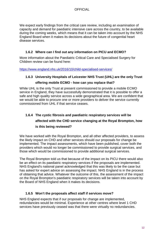We expect early findings from the critical care review, including an examination of capacity and demand for paediatric intensive care across the country, to be available during the coming weeks, which means that it can be taken into account by the NHS England Board when it makes its decisions about the future of congenital heart disease services.

#### **1.6.2 Where can I find out any information on PICU and ECMO?**

<span id="page-11-0"></span>More information about the Paediatric Critical Care and Specialised Surgery for Children review can be found here:

<https://www.england.nhs.uk/2016/10/child-specialised-services/>

#### <span id="page-11-1"></span>**1.6.3 University Hospitals of Leicester NHS Trust (UHL) are the only Trust**

#### **offering mobile ECMO - how can you replace that?**

While UHL is the only Trust at present commissioned to provide a mobile ECMO service in England, they have successfully demonstrated that it is possible to offer a safe and high quality service across a wide geographical area. We are confident that we would be able to procure one or more providers to deliver the service currently commissioned from UHL if that service ceases.

## <span id="page-11-2"></span>**1.6.4 The cystic fibrosis and paediatric respiratory services will be affected with the CHD service changing at the Royal Brompton, how is this being reviewed?**

We have worked with the Royal Brompton, and all other affected providers, to assess the likely impact on CHD and other services should our proposals for change be implemented. The impact assessments, which have been published, cover both the providers which would no longer be commissioned to provide surgical services, and those which would be commissioned to provide additional surgical services.

The Royal Brompton told us that because of the impact on its PICU there would also be an effect on its paediatric respiratory services if the proposals are implemented. NHS England's national panel acknowledged that this was likely to be the case but has asked for expert advice on assessing the impact. NHS England is in the process of obtaining that advice. Whatever the outcome of this, the assessment of the impact on the Royal Brompton's paediatric respiratory services will be taken into account by the Board of NHS England when it makes its decisions.

#### **1.6.5 Won't the proposals affect staff if services move?**

<span id="page-11-3"></span>NHS England expects that if our proposals for change are implemented, redundancies would be minimal. Experience at other centres where level 1 CHD services have previously ceased was that there were virtually no redundancies.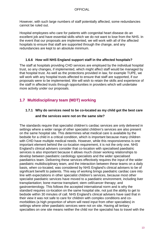However, with such large numbers of staff potentially affected, some redundancies cannot be ruled out.

Hospital employees who care for patients with congenital heart disease do an excellent job and have essential skills which we do not want to lose from the NHS. In the event that our proposals are implemented, we will work with all of the affected hospitals to ensure that staff are supported through the change, and any redundancies are kept to an absolute minimum.

#### **1.6.6 How will NHS England support staff in the affected hospitals?**

<span id="page-12-0"></span>The staff at hospitals providing CHD services are employed by the individual hospital trust, so any changes, if implemented, which might affect staff would be managed by that hospital trust. As well as the protections provided in law, for example TUPE, we will work with any hospital trusts affected to ensure that staff are supported, if our proposals were to be implemented. We will wish to retain the skills and experience of the staff in affected trusts through opportunities in providers which will undertake more activity under our proposals.

## <span id="page-12-1"></span>**1.7 Multidisciplinary team (MDT) working**

# <span id="page-12-2"></span>**1.7.1 Why do services need to be co-located as my child got the best care**

#### **and the services were not on the same site?**

The standards require that specialist children's cardiac services are only delivered in settings where a wider range of other specialist children's services are also present on the same hospital site. This determines what medical care is available by the bedside for a child in a critical condition, which is important because many children with CHD have multiple medical needs. However, while this responsiveness is one important element behind the co-location requirement, it is not the only one. NHS England's clinical advisers consider that co-location with specialised paediatric services is also important because it allows much closer working relationships to develop between paediatric cardiology specialists and the wider specialised paediatrics team. Delivering these services effectively requires the input of the wider paediatric multidisciplinary team, and the interaction between these teams on a daily basis, when co-located, was considered by NHS England's clinical advisers to be of significant benefit to patients. This way of working brings paediatric cardiac care into line with expectations in other specialist children's services, because most other specialist paediatric services have moved to a paediatric environment, including liver transplantation; bone marrow transplant; stem cell/cancer therapy; and gastroenterology. This follows the accepted international norm and is why the standard requires co-location on the same hospital site, not just the ability to get to bedside within 30 minutes of call. NHS England's clinical advisers have said that in their view it was not safe to care for children with complex conditions and comorbidities (a high proportion of whom will need input from other specialties) in settings where other paediatric services were not on site. Having all tertiary specialties on one site means neither the child nor the specialist has to travel with the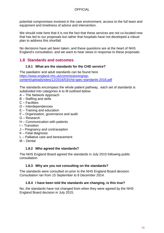potential compromises involved in the care environment, access to the full team and equipment and timeliness of advice and intervention.

We should note here that it is not the fact that these services are not co-located now that has led to our proposals but rather that hospitals have not developed a robust plan to address this shortfall.

No decisions have yet been taken, and these questions are at the heart of NHS England's consultation, and we want to hear views in response to these proposals.

## <span id="page-13-0"></span>**1.8 Standards and outcomes**

#### **1.8.1 What are the standards for the CHD service?**

<span id="page-13-1"></span>The paediatric and adult standards can be found here [https://www.england.nhs.uk/commissioning/wp](https://www.england.nhs.uk/commissioning/wp-content/uploads/sites/12/2016/03/chd-spec-standards-2016.pdf)[content/uploads/sites/12/2016/03/chd-spec-standards-2016.pdf](https://www.england.nhs.uk/commissioning/wp-content/uploads/sites/12/2016/03/chd-spec-standards-2016.pdf)

The standards encompass the whole patient pathway, each set of standards is subdivided into categories A to M outlined below:

- A The Network Approach
- B Staffing and skills
- C Facilities
- D Interdependencies
- E Training and education
- F Organisation, governance and audit
- G Research
- H Communication with patients
- I Transition
- J Pregnancy and contraception
- K Fetal diagnosis
- L Palliative care and bereavement
- M Dental

#### **1.8.2 Who agreed the standards?**

<span id="page-13-2"></span>The NHS England Board agreed the standards in July 2015 following public consultation.

#### **1.8.3 Why are you not consulting on the standards?**

<span id="page-13-3"></span>The standards were consulted on prior to the NHS England Board decision. Consultation ran from 15 September to 8 December 2014.

#### **1.8.4 I have been told the standards are changing, is this true?**

<span id="page-13-4"></span>No, the standards have not changed from when they were agreed by the NHS England Board decision in July 2015.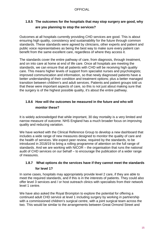## <span id="page-14-0"></span>**1.8.5 The outcomes for the hospitals that may stop surgery are good, why are you planning to stop the services?**

Outcomes at all hospitals currently providing CHD services are good. This is about ensuring high quality, consistency and sustainability for the future through common standards. These standards were agreed by clinicians, other experts and patient and public voice representatives as being the best way to make sure every patient can benefit from the same excellent care, regardless of where they access it.

The standards cover the entire pathway of care, from diagnosis, through treatment, and on into care at home at end of life care. Once all hospitals are meeting the standards, we can ensure that all patients with CHD will be receiving high quality care. This means higher levels of support from specialist nurses and psychologists; improved communication and information, so that newly diagnosed patients have a better understanding of their condition and treatment options; plus a better managed transition between children's and adult services. Patients and patient groups told us that these were important aspects of care, so this is not just about making sure that the surgery is of the highest possible quality, it's about the entire pathway.

## <span id="page-14-1"></span>**1.8.6 How will the outcomes be measured in the future and who will monitor these?**

It is widely acknowledged that while important, 30 day mortality is a very limited and narrow measure of outcome. NHS England has a much broader focus on improving quality and reducing variation.

We have worked with the Clinical Reference Group to develop a new dashboard that includes a wide range of new measures designed to monitor the quality of care and the health of services. We expect peer review, required by the standards, to be introduced in 2018/19 to bring a rolling programme of attention on the full range of standards. And we are working with NICOR – the organisation that runs the national audit of CHD services on our behalf – to encourage the publication of a wider range of measures.

# **1.8.7 What options do the services have if they cannot meet the standards**

#### <span id="page-14-2"></span>**for level 1?**

In some cases, hospitals may appropriately provide level 2 care, if they are able to meet the required standards, and if this is in the interests of patients. They could also offer level 3 services and / or host outreach clinics with specialists from their network level 1 centre.

We have also asked the Royal Brompton to explore the potential for offering a continued adult CHD service at level 1 including surgery by working in partnership with a commissioned children's surgical centre, with a joint surgical team across the two. This would be similar to the arrangements between Great Ormond Street and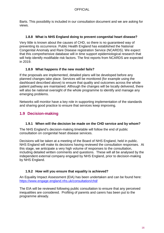Barts. This possibility is included in our consultation document and we are asking for views.

#### **1.8.8 What is NHS England doing to prevent congenital heart disease?**

<span id="page-15-0"></span>Very little is known about the causes of CHD, so there is no guaranteed way of preventing its occurrence. Public Health England has established the National Congenital Anomaly and Rare Disease registration Service (NCARDS). We expect that this comprehensive database will in time support epidemiological research that will help identify modifiable risk factors. The first reports from NCARDS are expected in 2019.

#### **1.8.9 What happens if the new model fails?**

<span id="page-15-1"></span>If the proposals are implemented, detailed plans will be developed before any planned changes take place. Services will be monitored (for example using the dashboard described above) to ensure that quality and outcomes across the whole patient pathway are maintained. Although the changes will be locally delivered, there will also be national oversight of the whole programme to identify and manage any emerging problems.

Networks will monitor have a key role in supporting implementation of the standards and sharing good practice to ensure that services keep improving.

## <span id="page-15-2"></span>**1.9 Decision-making**

#### **1.9.1 When will the decision be made on the CHD service and by whom?**

<span id="page-15-3"></span>The NHS England's decision-making timetable will follow the end of public consultation on congenital heart disease services.

Decisions will be taken at a meeting of the Board of NHS England, held in public. NHS England will make its decisions having reviewed the consultation responses. At this stage, we anticipate a very high volume of responses to the consultation, including detailed written comments and questions. These will all be analysed by the independent external company engaged by NHS England, prior to decision-making by NHS England.

#### **1.9.2 How will you ensure that equality is achieved?**

<span id="page-15-4"></span>An Equality Impact Assessment (EIA) has been undertaken and can be found here: <https://www.engage.england.nhs.uk/consultation/chd/>

The EIA will be reviewed following public consultation to ensure that any perceived inequalities are considered. Profiling of parents and carers has been put to the programme already.